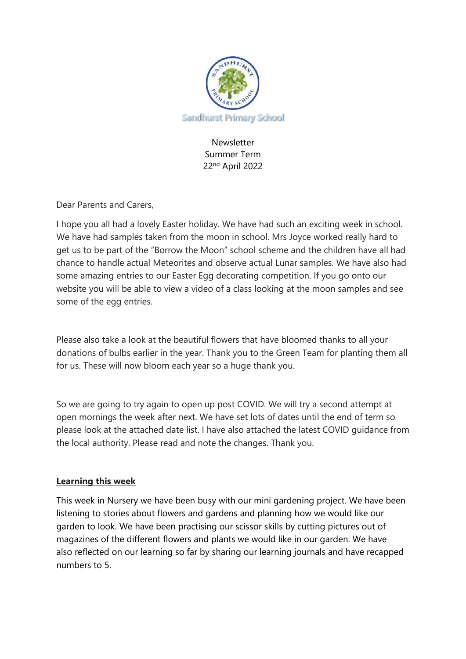

Newsletter Summer Term 22nd April 2022

Dear Parents and Carers,

I hope you all had a lovely Easter holiday. We have had such an exciting week in school. We have had samples taken from the moon in school. Mrs Joyce worked really hard to get us to be part of the "Borrow the Moon" school scheme and the children have all had chance to handle actual Meteorites and observe actual Lunar samples. We have also had some amazing entries to our Easter Egg decorating competition. If you go onto our website you will be able to view a video of a class looking at the moon samples and see some of the egg entries.

Please also take a look at the beautiful flowers that have bloomed thanks to all your donations of bulbs earlier in the year. Thank you to the Green Team for planting them all for us. These will now bloom each year so a huge thank you.

So we are going to try again to open up post COVID. We will try a second attempt at open mornings the week after next. We have set lots of dates until the end of term so please look at the attached date list. I have also attached the latest COVID guidance from the local authority. Please read and note the changes. Thank you.

## **Learning this week**

This week in Nursery we have been busy with our mini gardening project. We have been listening to stories about flowers and gardens and planning how we would like our garden to look. We have been practising our scissor skills by cutting pictures out of magazines of the different flowers and plants we would like in our garden. We have also reflected on our learning so far by sharing our learning journals and have recapped numbers to 5.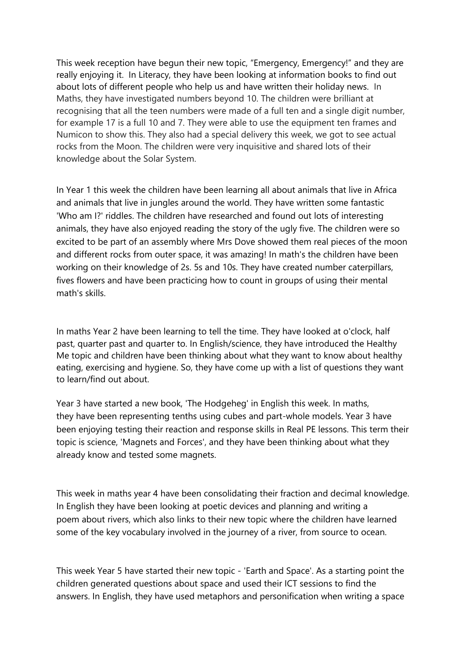This week reception have begun their new topic, "Emergency, Emergency!" and they are really enjoying it. In Literacy, they have been looking at information books to find out about lots of different people who help us and have written their holiday news. In Maths, they have investigated numbers beyond 10. The children were brilliant at recognising that all the teen numbers were made of a full ten and a single digit number, for example 17 is a full 10 and 7. They were able to use the equipment ten frames and Numicon to show this. They also had a special delivery this week, we got to see actual rocks from the Moon. The children were very inquisitive and shared lots of their knowledge about the Solar System.

In Year 1 this week the children have been learning all about animals that live in Africa and animals that live in jungles around the world. They have written some fantastic 'Who am I?' riddles. The children have researched and found out lots of interesting animals, they have also enjoyed reading the story of the ugly five. The children were so excited to be part of an assembly where Mrs Dove showed them real pieces of the moon and different rocks from outer space, it was amazing! In math's the children have been working on their knowledge of 2s. 5s and 10s. They have created number caterpillars, fives flowers and have been practicing how to count in groups of using their mental math's skills.

In maths Year 2 have been learning to tell the time. They have looked at o'clock, half past, quarter past and quarter to. In English/science, they have introduced the Healthy Me topic and children have been thinking about what they want to know about healthy eating, exercising and hygiene. So, they have come up with a list of questions they want to learn/find out about.

Year 3 have started a new book, 'The Hodgeheg' in English this week. In maths, they have been representing tenths using cubes and part-whole models. Year 3 have been enjoying testing their reaction and response skills in Real PE lessons. This term their topic is science, 'Magnets and Forces', and they have been thinking about what they already know and tested some magnets.

This week in maths year 4 have been consolidating their fraction and decimal knowledge. In English they have been looking at poetic devices and planning and writing a poem about rivers, which also links to their new topic where the children have learned some of the key vocabulary involved in the journey of a river, from source to ocean.

This week Year 5 have started their new topic - 'Earth and Space'. As a starting point the children generated questions about space and used their ICT sessions to find the answers. In English, they have used metaphors and personification when writing a space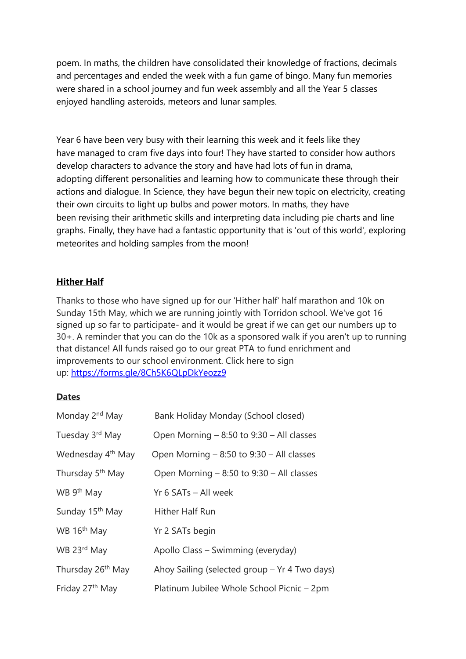poem. In maths, the children have consolidated their knowledge of fractions, decimals and percentages and ended the week with a fun game of bingo. Many fun memories were shared in a school journey and fun week assembly and all the Year 5 classes enjoyed handling asteroids, meteors and lunar samples.

Year 6 have been very busy with their learning this week and it feels like they have managed to cram five days into four! They have started to consider how authors develop characters to advance the story and have had lots of fun in drama, adopting different personalities and learning how to communicate these through their actions and dialogue. In Science, they have begun their new topic on electricity, creating their own circuits to light up bulbs and power motors. In maths, they have been revising their arithmetic skills and interpreting data including pie charts and line graphs. Finally, they have had a fantastic opportunity that is 'out of this world', exploring meteorites and holding samples from the moon!

## **Hither Half**

Thanks to those who have signed up for our 'Hither half' half marathon and 10k on Sunday 15th May, which we are running jointly with Torridon school. We've got 16 signed up so far to participate- and it would be great if we can get our numbers up to 30+. A reminder that you can do the 10k as a sponsored walk if you aren't up to running that distance! All funds raised go to our great PTA to fund enrichment and improvements to our school environment. Click here to sign up: <https://forms.gle/8Ch5K6QLpDkYeozz9>

## **Dates**

| Monday 2 <sup>nd</sup> May    | Bank Holiday Monday (School closed)           |
|-------------------------------|-----------------------------------------------|
| Tuesday 3rd May               | Open Morning $-8:50$ to $9:30 - Al$ classes   |
| Wednesday 4 <sup>th</sup> May | Open Morning $-8:50$ to $9:30 -$ All classes  |
| Thursday 5 <sup>th</sup> May  | Open Morning $-8:50$ to $9:30 - Al$ classes   |
| WB 9 <sup>th</sup> May        | Yr 6 SATs - All week                          |
| Sunday 15 <sup>th</sup> May   | Hither Half Run                               |
| WB 16 <sup>th</sup> May       | Yr 2 SATs begin                               |
| WB 23rd May                   | Apollo Class - Swimming (everyday)            |
| Thursday 26 <sup>th</sup> May | Ahoy Sailing (selected group - Yr 4 Two days) |
| Friday 27 <sup>th</sup> May   | Platinum Jubilee Whole School Picnic – 2pm    |